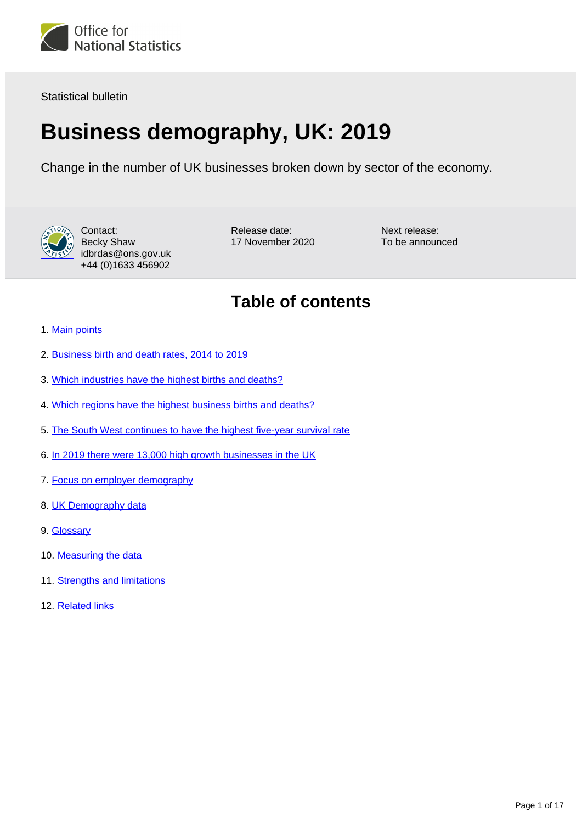

Statistical bulletin

# **Business demography, UK: 2019**

Change in the number of UK businesses broken down by sector of the economy.



Contact: Becky Shaw idbrdas@ons.gov.uk +44 (0)1633 456902

Release date: 17 November 2020 Next release: To be announced

## **Table of contents**

- 1. [Main points](#page-1-0)
- 2. [Business birth and death rates, 2014 to 2019](#page-1-1)
- 3. [Which industries have the highest births and deaths?](#page-3-0)
- 4. [Which regions have the highest business births and deaths?](#page-4-0)
- 5. [The South West continues to have the highest five-year survival rate](#page-6-0)
- 6. [In 2019 there were 13,000 high growth businesses in the UK](#page-7-0)
- 7. [Focus on employer demography](#page-8-0)
- 8. [UK Demography data](#page-13-0)
- 9. [Glossary](#page-13-1)
- 10. [Measuring the data](#page-14-0)
- 11. [Strengths and limitations](#page-15-0)
- 12. [Related links](#page-16-0)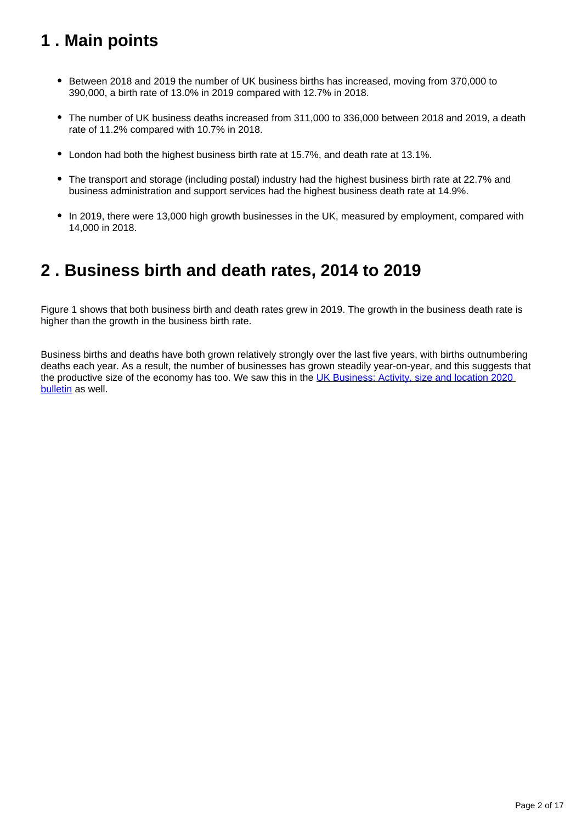## <span id="page-1-0"></span>**1 . Main points**

- Between 2018 and 2019 the number of UK business births has increased, moving from 370,000 to 390,000, a birth rate of 13.0% in 2019 compared with 12.7% in 2018.
- The number of UK business deaths increased from 311,000 to 336,000 between 2018 and 2019, a death rate of 11.2% compared with 10.7% in 2018.
- London had both the highest business birth rate at 15.7%, and death rate at 13.1%.
- The transport and storage (including postal) industry had the highest business birth rate at 22.7% and business administration and support services had the highest business death rate at 14.9%.
- In 2019, there were 13,000 high growth businesses in the UK, measured by employment, compared with 14,000 in 2018.

## <span id="page-1-1"></span>**2 . Business birth and death rates, 2014 to 2019**

Figure 1 shows that both business birth and death rates grew in 2019. The growth in the business death rate is higher than the growth in the business birth rate.

Business births and deaths have both grown relatively strongly over the last five years, with births outnumbering deaths each year. As a result, the number of businesses has grown steadily year-on-year, and this suggests that the productive size of the economy has too. We saw this in the UK Business: Activity, size and location 2020 [bulletin](https://www.ons.gov.uk/businessindustryandtrade/business/activitysizeandlocation/bulletins/ukbusinessactivitysizeandlocation/2020) as well.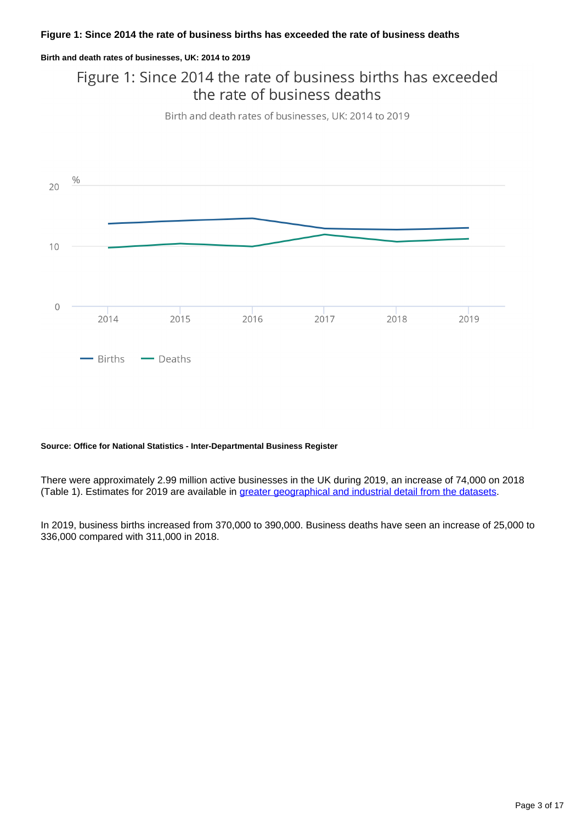### **Figure 1: Since 2014 the rate of business births has exceeded the rate of business deaths**

#### **Birth and death rates of businesses, UK: 2014 to 2019**

## Figure 1: Since 2014 the rate of business births has exceeded the rate of business deaths

Birth and death rates of businesses, UK: 2014 to 2019



#### **Source: Office for National Statistics - Inter-Departmental Business Register**

There were approximately 2.99 million active businesses in the UK during 2019, an increase of 74,000 on 2018 (Table 1). Estimates for 2019 are available in [greater geographical and industrial detail from the datasets](https://www.ons.gov.uk/businessindustryandtrade/business/activitysizeandlocation/datasets/businessdemographyreferencetable).

In 2019, business births increased from 370,000 to 390,000. Business deaths have seen an increase of 25,000 to 336,000 compared with 311,000 in 2018.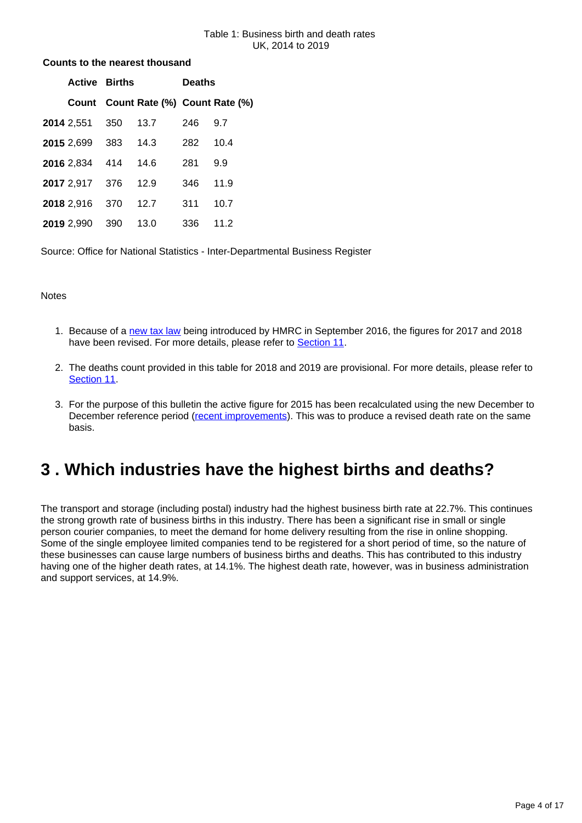#### Table 1: Business birth and death rates UK, 2014 to 2019

### **Counts to the nearest thousand**

| <b>Active Births</b>  |     |                                     | <b>Deaths</b> |      |  |
|-----------------------|-----|-------------------------------------|---------------|------|--|
|                       |     | Count Count Rate (%) Count Rate (%) |               |      |  |
| 2014 2,551 350        |     | 13.7                                | 246           | 9.7  |  |
| 2015 2,699 383        |     | 14.3                                | 282           | 10.4 |  |
| 2016 2,834 414        |     | - 14.6                              | 281           | 9.9  |  |
| 2017 2,917 376 12.9   |     |                                     | 346.          | 11.9 |  |
| <b>2018</b> 2,916 370 |     | 12.7                                | 311           | 10.7 |  |
| 2019 2,990            | 390 | 13.0                                | 336           | 11.2 |  |

Source: Office for National Statistics - Inter-Departmental Business Register

### **Notes**

- 1. Because of a [new tax law](https://www.gov.uk/guidance/vat-overseas-businesses-using-an-online-marketplace-to-sell-goods-in-the-uk) being introduced by HMRC in September 2016, the figures for 2017 and 2018 have been revised. For more details, please refer to [Section 11](https://www.ons.gov.uk/businessindustryandtrade/business/activitysizeandlocation/bulletins/businessdemography/2019#strengths-and-limitations).
- 2. The deaths count provided in this table for 2018 and 2019 are provisional. For more details, please refer to [Section 11](https://www.ons.gov.uk/businessindustryandtrade/business/activitysizeandlocation/bulletins/businessdemography/2019#strengths-and-limitations).
- 3. For the purpose of this bulletin the active figure for 2015 has been recalculated using the new December to December reference period [\(recent improvements\)](https://www.ons.gov.uk/businessindustryandtrade/business/activitysizeandlocation/methodologies/businessdemographyqmi). This was to produce a revised death rate on the same basis.

## <span id="page-3-0"></span>**3 . Which industries have the highest births and deaths?**

The transport and storage (including postal) industry had the highest business birth rate at 22.7%. This continues the strong growth rate of business births in this industry. There has been a significant rise in small or single person courier companies, to meet the demand for home delivery resulting from the rise in online shopping. Some of the single employee limited companies tend to be registered for a short period of time, so the nature of these businesses can cause large numbers of business births and deaths. This has contributed to this industry having one of the higher death rates, at 14.1%. The highest death rate, however, was in business administration and support services, at 14.9%.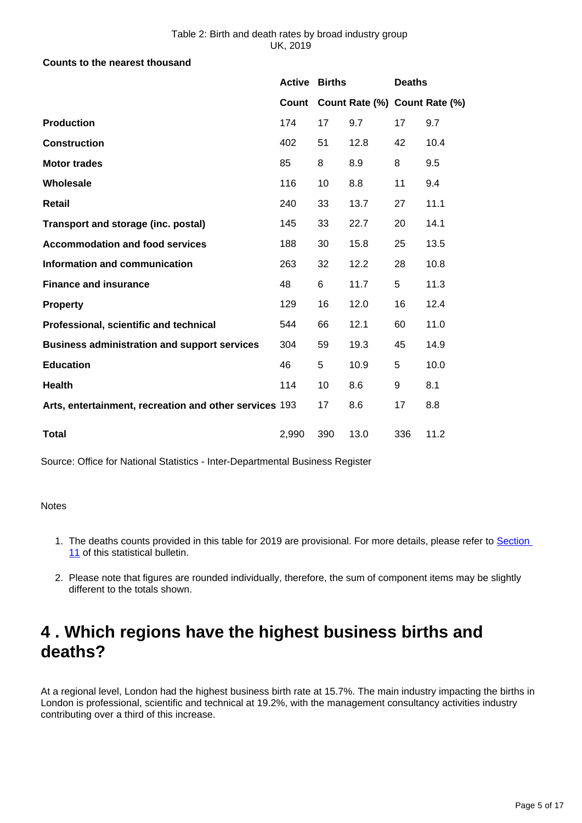### **Counts to the nearest thousand**

|                                                        | <b>Active Births</b> |     |                               | <b>Deaths</b> |      |
|--------------------------------------------------------|----------------------|-----|-------------------------------|---------------|------|
|                                                        | Count                |     | Count Rate (%) Count Rate (%) |               |      |
| <b>Production</b>                                      | 174                  | 17  | 9.7                           | 17            | 9.7  |
| <b>Construction</b>                                    | 402                  | 51  | 12.8                          | 42            | 10.4 |
| <b>Motor trades</b>                                    | 85                   | 8   | 8.9                           | 8             | 9.5  |
| Wholesale                                              | 116                  | 10  | 8.8                           | 11            | 9.4  |
| Retail                                                 | 240                  | 33  | 13.7                          | 27            | 11.1 |
| Transport and storage (inc. postal)                    | 145                  | 33  | 22.7                          | 20            | 14.1 |
| <b>Accommodation and food services</b>                 | 188                  | 30  | 15.8                          | 25            | 13.5 |
| Information and communication                          | 263                  | 32  | 12.2                          | 28            | 10.8 |
| <b>Finance and insurance</b>                           | 48                   | 6   | 11.7                          | 5             | 11.3 |
| <b>Property</b>                                        | 129                  | 16  | 12.0                          | 16            | 12.4 |
| Professional, scientific and technical                 | 544                  | 66  | 12.1                          | 60            | 11.0 |
| <b>Business administration and support services</b>    | 304                  | 59  | 19.3                          | 45            | 14.9 |
| <b>Education</b>                                       | 46                   | 5   | 10.9                          | 5             | 10.0 |
| <b>Health</b>                                          | 114                  | 10  | 8.6                           | 9             | 8.1  |
| Arts, entertainment, recreation and other services 193 |                      | 17  | 8.6                           | 17            | 8.8  |
| <b>Total</b>                                           | 2,990                | 390 | 13.0                          | 336           | 11.2 |

Source: Office for National Statistics - Inter-Departmental Business Register

**Notes** 

- 1. The deaths counts provided in this table for 2019 are provisional. For more details, please refer to Section [11](https://publishing.ons.gov.uk/businessindustryandtrade/business/activitysizeandlocation/bulletins/businessdemography/2019#strengths-and-limitations) of this statistical bulletin.
- 2. Please note that figures are rounded individually, therefore, the sum of component items may be slightly different to the totals shown.

## <span id="page-4-0"></span>**4 . Which regions have the highest business births and deaths?**

At a regional level, London had the highest business birth rate at 15.7%. The main industry impacting the births in London is professional, scientific and technical at 19.2%, with the management consultancy activities industry contributing over a third of this increase.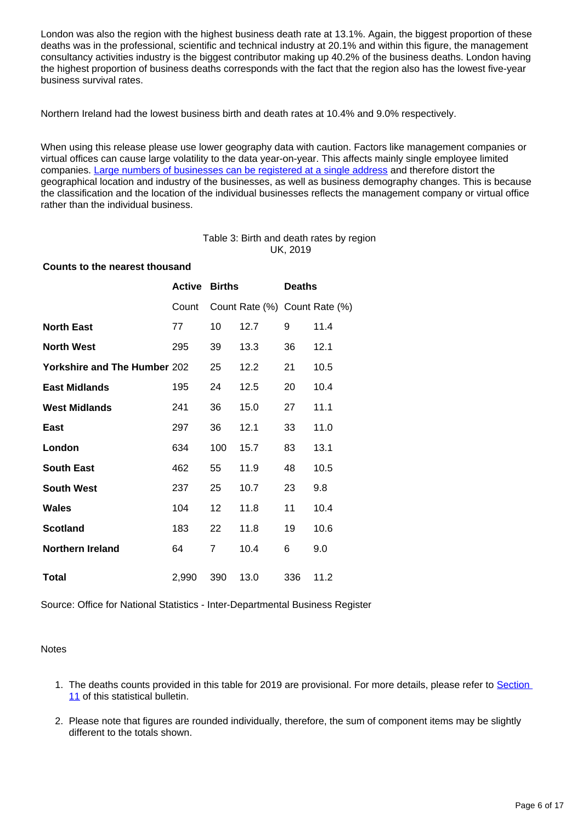London was also the region with the highest business death rate at 13.1%. Again, the biggest proportion of these deaths was in the professional, scientific and technical industry at 20.1% and within this figure, the management consultancy activities industry is the biggest contributor making up 40.2% of the business deaths. London having the highest proportion of business deaths corresponds with the fact that the region also has the lowest five-year business survival rates.

Northern Ireland had the lowest business birth and death rates at 10.4% and 9.0% respectively.

When using this release please use lower geography data with caution. Factors like management companies or virtual offices can cause large volatility to the data year-on-year. This affects mainly single employee limited companies. [Large numbers of businesses can be registered at a single address](https://www.ons.gov.uk/businessindustryandtrade/business/activitysizeandlocation/methodologies/multipleregistrationsatasinglepostcode2017) and therefore distort the geographical location and industry of the businesses, as well as business demography changes. This is because the classification and the location of the individual businesses reflects the management company or virtual office rather than the individual business.

### Table 3: Birth and death rates by region UK, 2019

### **Counts to the nearest thousand**

| <b>Active</b>                       | <b>Births</b> |      | <b>Deaths</b> |                               |
|-------------------------------------|---------------|------|---------------|-------------------------------|
| Count                               |               |      |               |                               |
| 77                                  | 10            | 12.7 | 9             | 11.4                          |
| 295                                 | 39            | 13.3 | 36            | 12.1                          |
| <b>Yorkshire and The Humber 202</b> | 25            | 12.2 | 21            | 10.5                          |
| 195                                 | 24            | 12.5 | 20            | 10.4                          |
| 241                                 | 36            | 15.0 | 27            | 11.1                          |
| 297                                 | 36            | 12.1 | 33            | 11.0                          |
| 634                                 | 100           | 15.7 | 83            | 13.1                          |
| 462                                 | 55            | 11.9 | 48            | 10.5                          |
| 237                                 | 25            | 10.7 | 23            | 9.8                           |
| 104                                 | 12            | 11.8 | 11            | 10.4                          |
| 183                                 | 22            | 11.8 | 19            | 10.6                          |
| 64                                  | 7             | 10.4 | 6             | 9.0                           |
| 2,990                               | 390           | 13.0 | 336           | 11.2                          |
|                                     |               |      |               | Count Rate (%) Count Rate (%) |

Source: Office for National Statistics - Inter-Departmental Business Register

### **Notes**

- 1. The deaths counts provided in this table for 2019 are provisional. For more details, please refer to Section [11](https://www.ons.gov.uk/businessindustryandtrade/business/activitysizeandlocation/methodologies/multipleregistrationsatasinglepostcode2017) of this statistical bulletin.
- 2. Please note that figures are rounded individually, therefore, the sum of component items may be slightly different to the totals shown.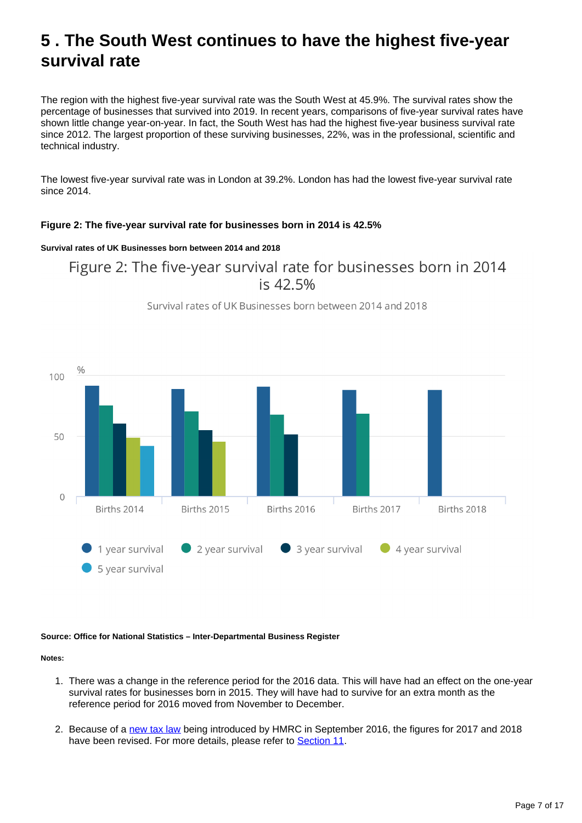## <span id="page-6-0"></span>**5 . The South West continues to have the highest five-year survival rate**

The region with the highest five-year survival rate was the South West at 45.9%. The survival rates show the percentage of businesses that survived into 2019. In recent years, comparisons of five-year survival rates have shown little change year-on-year. In fact, the South West has had the highest five-year business survival rate since 2012. The largest proportion of these surviving businesses, 22%, was in the professional, scientific and technical industry.

The lowest five-year survival rate was in London at 39.2%. London has had the lowest five-year survival rate since 2014.

### **Figure 2: The five-year survival rate for businesses born in 2014 is 42.5%**

### **Survival rates of UK Businesses born between 2014 and 2018**

Figure 2: The five-year survival rate for businesses born in 2014 is 42.5%



Survival rates of UK Businesses born between 2014 and 2018

#### **Source: Office for National Statistics – Inter-Departmental Business Register**

#### **Notes:**

- 1. There was a change in the reference period for the 2016 data. This will have had an effect on the one-year survival rates for businesses born in 2015. They will have had to survive for an extra month as the reference period for 2016 moved from November to December.
- 2. Because of a [new tax law](https://www.gov.uk/guidance/vat-overseas-businesses-using-an-online-marketplace-to-sell-goods-in-the-uk) being introduced by HMRC in September 2016, the figures for 2017 and 2018 have been revised. For more details, please refer to [Section 11](https://www.ons.gov.uk/businessindustryandtrade/business/activitysizeandlocation/bulletins/businessdemography/2019#strengths-and-limitations).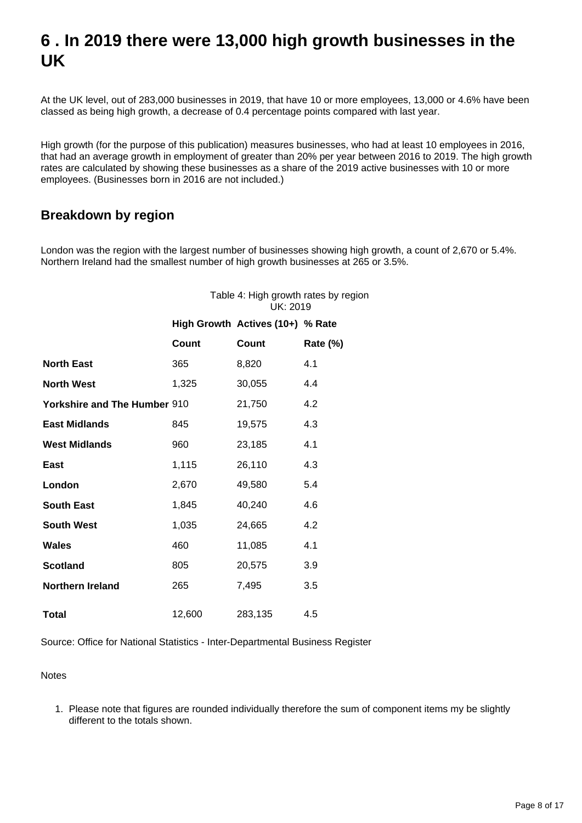## <span id="page-7-0"></span>**6 . In 2019 there were 13,000 high growth businesses in the UK**

At the UK level, out of 283,000 businesses in 2019, that have 10 or more employees, 13,000 or 4.6% have been classed as being high growth, a decrease of 0.4 percentage points compared with last year.

High growth (for the purpose of this publication) measures businesses, who had at least 10 employees in 2016, that had an average growth in employment of greater than 20% per year between 2016 to 2019. The high growth rates are calculated by showing these businesses as a share of the 2019 active businesses with 10 or more employees. (Businesses born in 2016 are not included.)

### **Breakdown by region**

London was the region with the largest number of businesses showing high growth, a count of 2,670 or 5.4%. Northern Ireland had the smallest number of high growth businesses at 265 or 3.5%.

| Table 4: High growth rates by region<br>UK: 2019 |
|--------------------------------------------------|
| $\text{High}$ Crowth Actives $(40.10)$ V. Date   |

|                                     |        | $10911$ OI OWELL ACLIVES (TVT) 70 INGLE |                 |
|-------------------------------------|--------|-----------------------------------------|-----------------|
|                                     | Count  | Count                                   | <b>Rate (%)</b> |
| <b>North East</b>                   | 365    | 8,820                                   | 4.1             |
| <b>North West</b>                   | 1,325  | 30,055                                  | 4.4             |
| <b>Yorkshire and The Humber 910</b> |        | 21,750                                  | 4.2             |
| <b>East Midlands</b>                | 845    | 19,575                                  | 4.3             |
| <b>West Midlands</b>                | 960    | 23,185                                  | 4.1             |
| <b>East</b>                         | 1,115  | 26,110                                  | 4.3             |
| London                              | 2,670  | 49,580                                  | 5.4             |
| <b>South East</b>                   | 1,845  | 40,240                                  | 4.6             |
| <b>South West</b>                   | 1,035  | 24,665                                  | 4.2             |
| <b>Wales</b>                        | 460    | 11,085                                  | 4.1             |
| <b>Scotland</b>                     | 805    | 20,575                                  | 3.9             |
| <b>Northern Ireland</b>             | 265    | 7,495                                   | 3.5             |
| <b>Total</b>                        | 12,600 | 283,135                                 | 4.5             |

Source: Office for National Statistics - Inter-Departmental Business Register

Notes

1. Please note that figures are rounded individually therefore the sum of component items my be slightly different to the totals shown.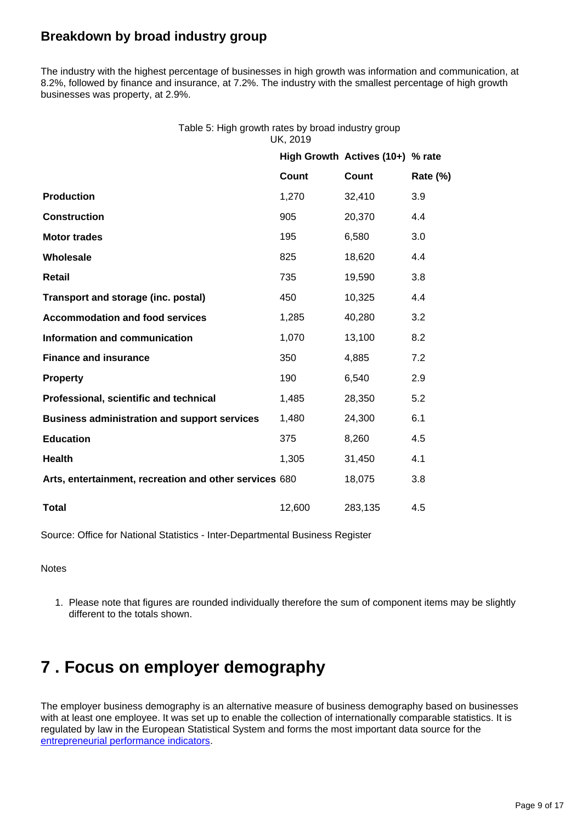## **Breakdown by broad industry group**

The industry with the highest percentage of businesses in high growth was information and communication, at 8.2%, followed by finance and insurance, at 7.2%. The industry with the smallest percentage of high growth businesses was property, at 2.9%.

| Table 5: High growth rates by broad industry group |
|----------------------------------------------------|
| UK. 2019                                           |

|                                                        |        | High Growth Actives (10+) % rate |                 |
|--------------------------------------------------------|--------|----------------------------------|-----------------|
|                                                        | Count  | Count                            | <b>Rate (%)</b> |
| <b>Production</b>                                      | 1,270  | 32,410                           | 3.9             |
| <b>Construction</b>                                    | 905    | 20,370                           | 4.4             |
| <b>Motor trades</b>                                    | 195    | 6,580                            | 3.0             |
| Wholesale                                              | 825    | 18,620                           | 4.4             |
| <b>Retail</b>                                          | 735    | 19,590                           | 3.8             |
| Transport and storage (inc. postal)                    | 450    | 10,325                           | 4.4             |
| <b>Accommodation and food services</b>                 | 1,285  | 40,280                           | 3.2             |
| Information and communication                          | 1,070  | 13,100                           | 8.2             |
| <b>Finance and insurance</b>                           | 350    | 4,885                            | 7.2             |
| <b>Property</b>                                        | 190    | 6,540                            | 2.9             |
| Professional, scientific and technical                 | 1,485  | 28,350                           | 5.2             |
| <b>Business administration and support services</b>    | 1,480  | 24,300                           | 6.1             |
| <b>Education</b>                                       | 375    | 8,260                            | 4.5             |
| <b>Health</b>                                          | 1,305  | 31,450                           | 4.1             |
| Arts, entertainment, recreation and other services 680 |        | 18,075                           | 3.8             |
| <b>Total</b>                                           | 12,600 | 283,135                          | 4.5             |

Source: Office for National Statistics - Inter-Departmental Business Register

**Notes** 

1. Please note that figures are rounded individually therefore the sum of component items may be slightly different to the totals shown.

## <span id="page-8-0"></span>**7 . Focus on employer demography**

The employer business demography is an alternative measure of business demography based on businesses with at least one employee. It was set up to enable the collection of internationally comparable statistics. It is regulated by law in the European Statistical System and forms the most important data source for the [entrepreneurial performance indicators](http://ec.europa.eu/eurostat/web/structural-business-statistics/entrepreneurship/indicators).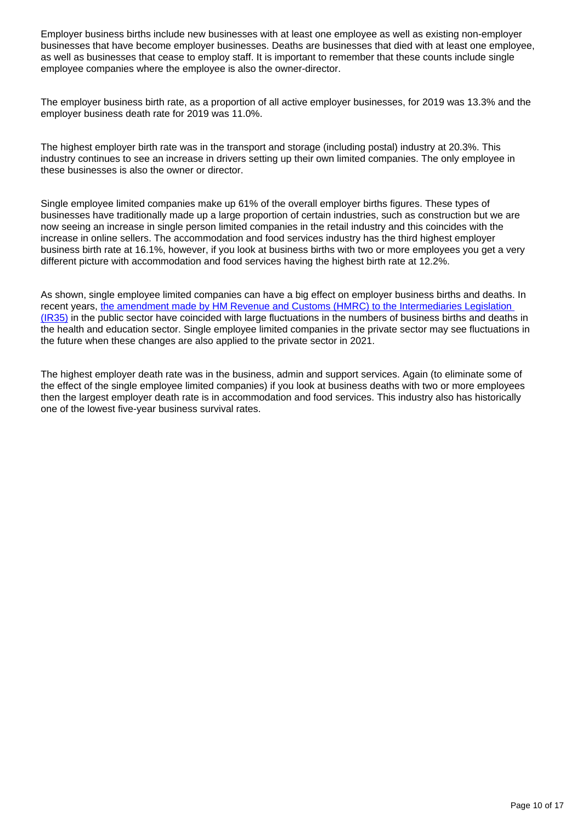Employer business births include new businesses with at least one employee as well as existing non-employer businesses that have become employer businesses. Deaths are businesses that died with at least one employee, as well as businesses that cease to employ staff. It is important to remember that these counts include single employee companies where the employee is also the owner-director.

The employer business birth rate, as a proportion of all active employer businesses, for 2019 was 13.3% and the employer business death rate for 2019 was 11.0%.

The highest employer birth rate was in the transport and storage (including postal) industry at 20.3%. This industry continues to see an increase in drivers setting up their own limited companies. The only employee in these businesses is also the owner or director.

Single employee limited companies make up 61% of the overall employer births figures. These types of businesses have traditionally made up a large proportion of certain industries, such as construction but we are now seeing an increase in single person limited companies in the retail industry and this coincides with the increase in online sellers. The accommodation and food services industry has the third highest employer business birth rate at 16.1%, however, if you look at business births with two or more employees you get a very different picture with accommodation and food services having the highest birth rate at 12.2%.

As shown, single employee limited companies can have a big effect on employer business births and deaths. In recent years, [the amendment made by HM Revenue and Customs \(HMRC\) to the Intermediaries Legislation](https://www.gov.uk/government/publications/off-payroll-working-in-the-public-sector-reform-of-the-intermediaries-legislation-technical-note/off-payroll-working-in-the-public-sector-reform-of-the-intermediaries-legislation-information-for-agents)  [\(IR35\)](https://www.gov.uk/government/publications/off-payroll-working-in-the-public-sector-reform-of-the-intermediaries-legislation-technical-note/off-payroll-working-in-the-public-sector-reform-of-the-intermediaries-legislation-information-for-agents) in the public sector have coincided with large fluctuations in the numbers of business births and deaths in the health and education sector. Single employee limited companies in the private sector may see fluctuations in the future when these changes are also applied to the private sector in 2021.

The highest employer death rate was in the business, admin and support services. Again (to eliminate some of the effect of the single employee limited companies) if you look at business deaths with two or more employees then the largest employer death rate is in accommodation and food services. This industry also has historically one of the lowest five-year business survival rates.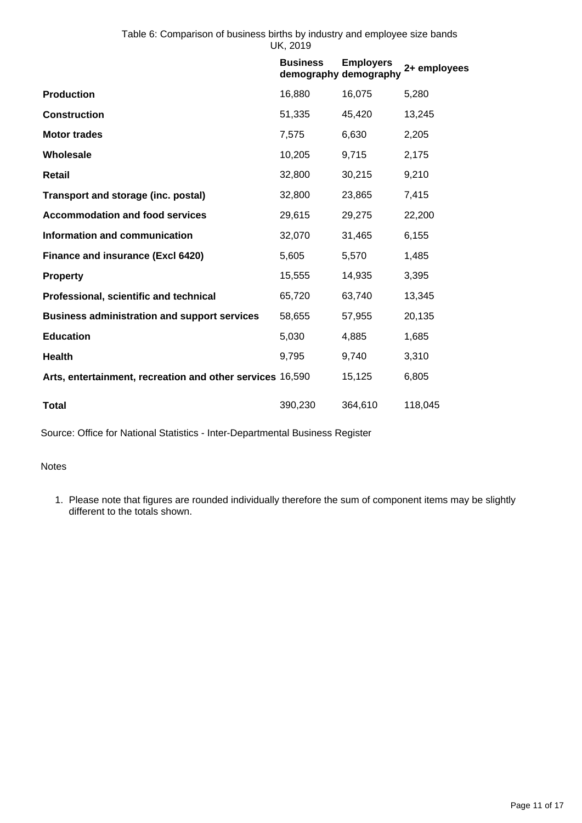|                                                           | <b>Business</b> | <b>Employers</b><br>demography demography | 2+ employees |
|-----------------------------------------------------------|-----------------|-------------------------------------------|--------------|
| <b>Production</b>                                         | 16,880          | 16,075                                    | 5,280        |
| <b>Construction</b>                                       | 51,335          | 45,420                                    | 13,245       |
| <b>Motor trades</b>                                       | 7,575           | 6,630                                     | 2,205        |
| Wholesale                                                 | 10,205          | 9,715                                     | 2,175        |
| <b>Retail</b>                                             | 32,800          | 30,215                                    | 9,210        |
| Transport and storage (inc. postal)                       | 32,800          | 23,865                                    | 7,415        |
| <b>Accommodation and food services</b>                    | 29,615          | 29,275                                    | 22,200       |
| Information and communication                             | 32,070          | 31,465                                    | 6,155        |
| Finance and insurance (Excl 6420)                         | 5,605           | 5,570                                     | 1,485        |
| <b>Property</b>                                           | 15,555          | 14,935                                    | 3,395        |
| Professional, scientific and technical                    | 65,720          | 63,740                                    | 13,345       |
| <b>Business administration and support services</b>       | 58,655          | 57,955                                    | 20,135       |
| <b>Education</b>                                          | 5,030           | 4,885                                     | 1,685        |
| <b>Health</b>                                             | 9,795           | 9,740                                     | 3,310        |
| Arts, entertainment, recreation and other services 16,590 |                 | 15,125                                    | 6,805        |
| <b>Total</b>                                              | 390,230         | 364,610                                   | 118,045      |

Source: Office for National Statistics - Inter-Departmental Business Register

**Notes** 

1. Please note that figures are rounded individually therefore the sum of component items may be slightly different to the totals shown.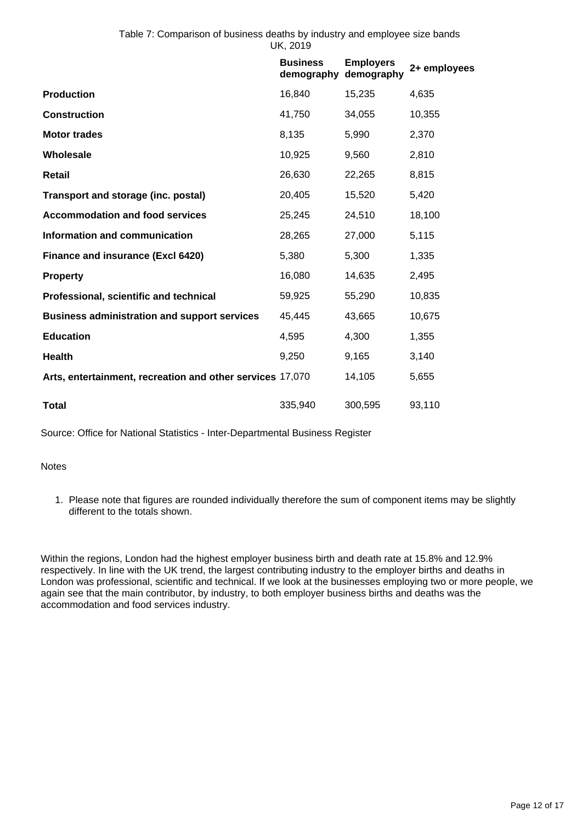|                                                           | <b>Business</b><br>demography | <b>Employers</b><br>demography | 2+ employees |
|-----------------------------------------------------------|-------------------------------|--------------------------------|--------------|
| <b>Production</b>                                         | 16,840                        | 15,235                         | 4,635        |
| <b>Construction</b>                                       | 41,750                        | 34,055                         | 10,355       |
| <b>Motor trades</b>                                       | 8,135                         | 5,990                          | 2,370        |
| Wholesale                                                 | 10,925                        | 9,560                          | 2,810        |
| Retail                                                    | 26,630                        | 22,265                         | 8,815        |
| Transport and storage (inc. postal)                       | 20,405                        | 15,520                         | 5,420        |
| <b>Accommodation and food services</b>                    | 25,245                        | 24,510                         | 18,100       |
| Information and communication                             | 28,265                        | 27,000                         | 5,115        |
| Finance and insurance (Excl 6420)                         | 5,380                         | 5,300                          | 1,335        |
| <b>Property</b>                                           | 16,080                        | 14,635                         | 2,495        |
| Professional, scientific and technical                    | 59,925                        | 55,290                         | 10,835       |
| <b>Business administration and support services</b>       | 45,445                        | 43,665                         | 10,675       |
| <b>Education</b>                                          | 4,595                         | 4,300                          | 1,355        |
| <b>Health</b>                                             | 9,250                         | 9,165                          | 3,140        |
| Arts, entertainment, recreation and other services 17,070 |                               | 14,105                         | 5,655        |
| <b>Total</b>                                              | 335,940                       | 300,595                        | 93,110       |

Source: Office for National Statistics - Inter-Departmental Business Register

**Notes** 

1. Please note that figures are rounded individually therefore the sum of component items may be slightly different to the totals shown.

Within the regions, London had the highest employer business birth and death rate at 15.8% and 12.9% respectively. In line with the UK trend, the largest contributing industry to the employer births and deaths in London was professional, scientific and technical. If we look at the businesses employing two or more people, we again see that the main contributor, by industry, to both employer business births and deaths was the accommodation and food services industry.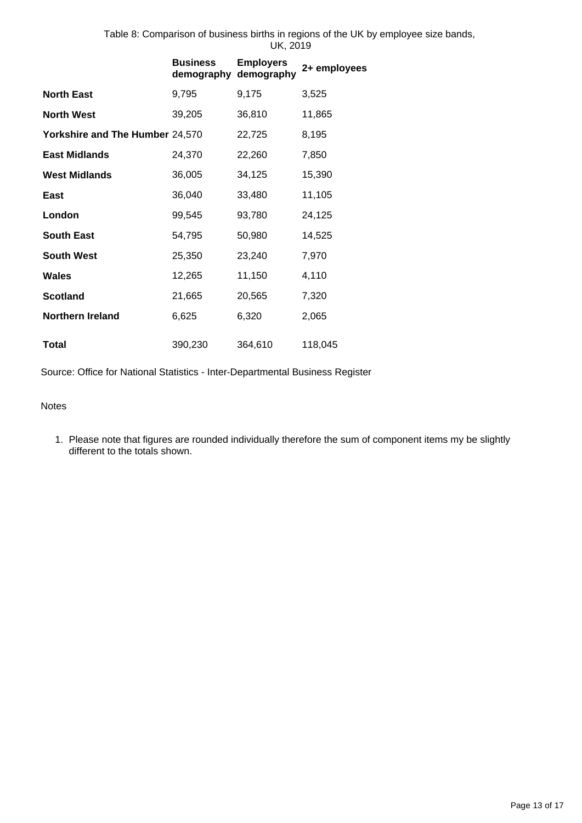Table 8: Comparison of business births in regions of the UK by employee size bands, UK, 2019

|                                 | <b>Business</b><br>demography demography | <b>Employers</b> | 2+ employees |
|---------------------------------|------------------------------------------|------------------|--------------|
| <b>North East</b>               | 9,795                                    | 9,175            | 3,525        |
| <b>North West</b>               | 39,205                                   | 36,810           | 11,865       |
| Yorkshire and The Humber 24,570 |                                          | 22,725           | 8,195        |
| <b>East Midlands</b>            | 24,370                                   | 22,260           | 7,850        |
| <b>West Midlands</b>            | 36,005                                   | 34,125           | 15,390       |
| East                            | 36,040                                   | 33,480           | 11,105       |
| London                          | 99,545                                   | 93,780           | 24,125       |
| <b>South East</b>               | 54,795                                   | 50,980           | 14,525       |
| <b>South West</b>               | 25,350                                   | 23,240           | 7,970        |
| Wales                           | 12,265                                   | 11,150           | 4,110        |
| <b>Scotland</b>                 | 21,665                                   | 20,565           | 7,320        |
| <b>Northern Ireland</b>         | 6,625                                    | 6,320            | 2,065        |
| Total                           | 390,230                                  | 364,610          | 118,045      |

Source: Office for National Statistics - Inter-Departmental Business Register

Notes

1. Please note that figures are rounded individually therefore the sum of component items my be slightly different to the totals shown.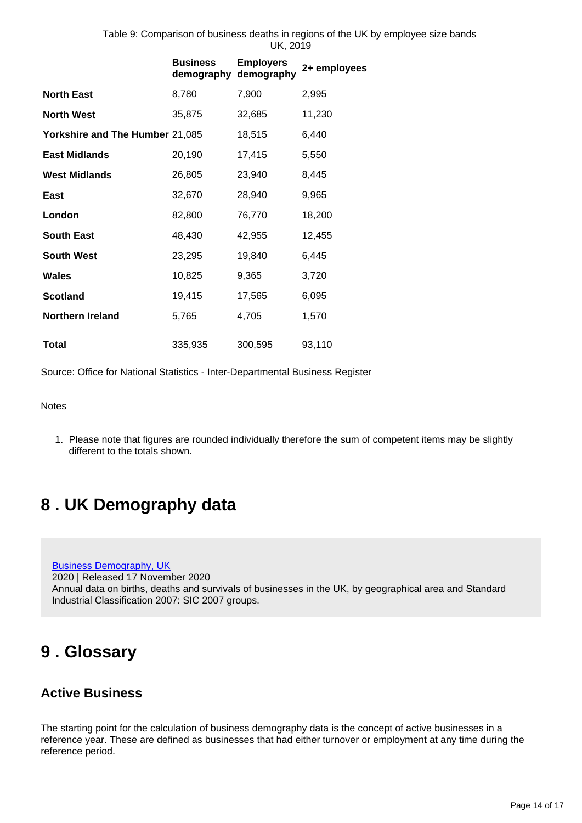Table 9: Comparison of business deaths in regions of the UK by employee size bands UK, 2019

|                                 | <b>Business</b><br>demography | <b>Employers</b><br>demography | 2+ employees |
|---------------------------------|-------------------------------|--------------------------------|--------------|
| <b>North East</b>               | 8,780                         | 7,900                          | 2,995        |
| <b>North West</b>               | 35,875                        | 32,685                         | 11,230       |
| Yorkshire and The Humber 21,085 |                               | 18,515                         | 6,440        |
| <b>East Midlands</b>            | 20,190                        | 17,415                         | 5,550        |
| <b>West Midlands</b>            | 26,805                        | 23,940                         | 8,445        |
| <b>East</b>                     | 32,670                        | 28,940                         | 9,965        |
| London                          | 82,800                        | 76,770                         | 18,200       |
| <b>South East</b>               | 48,430                        | 42,955                         | 12,455       |
| <b>South West</b>               | 23,295                        | 19,840                         | 6,445        |
| Wales                           | 10,825                        | 9,365                          | 3,720        |
| <b>Scotland</b>                 | 19,415                        | 17,565                         | 6,095        |
| <b>Northern Ireland</b>         | 5,765                         | 4,705                          | 1,570        |
| <b>Total</b>                    | 335,935                       | 300,595                        | 93,110       |

Source: Office for National Statistics - Inter-Departmental Business Register

**Notes** 

1. Please note that figures are rounded individually therefore the sum of competent items may be slightly different to the totals shown.

## <span id="page-13-0"></span>**8 . UK Demography data**

[Business Demography, UK](https://www.ons.gov.uk/businessindustryandtrade/business/activitysizeandlocation/datasets/businessdemographyreferencetable) 2020 | Released 17 November 2020 Annual data on births, deaths and survivals of businesses in the UK, by geographical area and Standard Industrial Classification 2007: SIC 2007 groups.

## <span id="page-13-1"></span>**9 . Glossary**

### **Active Business**

The starting point for the calculation of business demography data is the concept of active businesses in a reference year. These are defined as businesses that had either turnover or employment at any time during the reference period.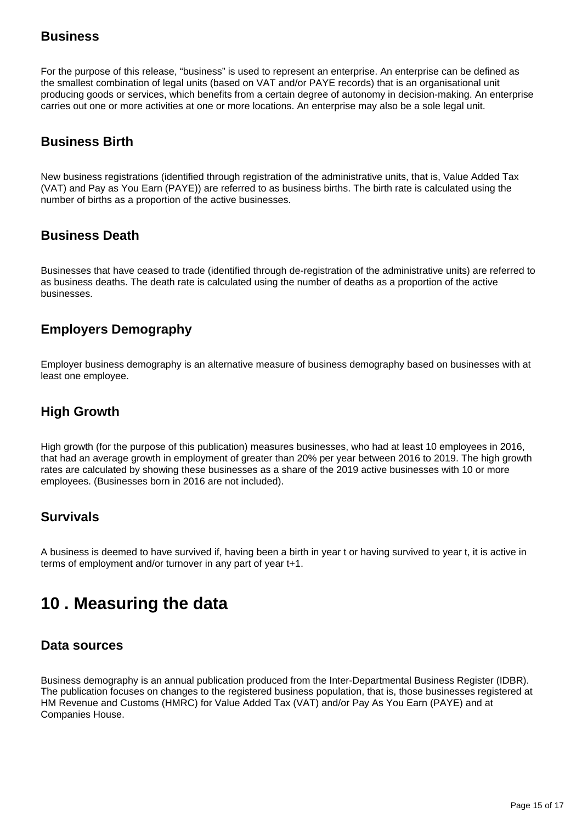### **Business**

For the purpose of this release, "business" is used to represent an enterprise. An enterprise can be defined as the smallest combination of legal units (based on VAT and/or PAYE records) that is an organisational unit producing goods or services, which benefits from a certain degree of autonomy in decision-making. An enterprise carries out one or more activities at one or more locations. An enterprise may also be a sole legal unit.

### **Business Birth**

New business registrations (identified through registration of the administrative units, that is, Value Added Tax (VAT) and Pay as You Earn (PAYE)) are referred to as business births. The birth rate is calculated using the number of births as a proportion of the active businesses.

### **Business Death**

Businesses that have ceased to trade (identified through de-registration of the administrative units) are referred to as business deaths. The death rate is calculated using the number of deaths as a proportion of the active businesses.

## **Employers Demography**

Employer business demography is an alternative measure of business demography based on businesses with at least one employee.

## **High Growth**

High growth (for the purpose of this publication) measures businesses, who had at least 10 employees in 2016, that had an average growth in employment of greater than 20% per year between 2016 to 2019. The high growth rates are calculated by showing these businesses as a share of the 2019 active businesses with 10 or more employees. (Businesses born in 2016 are not included).

### **Survivals**

A business is deemed to have survived if, having been a birth in year t or having survived to year t, it is active in terms of employment and/or turnover in any part of year t+1.

## <span id="page-14-0"></span>**10 . Measuring the data**

### **Data sources**

Business demography is an annual publication produced from the Inter-Departmental Business Register (IDBR). The publication focuses on changes to the registered business population, that is, those businesses registered at HM Revenue and Customs (HMRC) for Value Added Tax (VAT) and/or Pay As You Earn (PAYE) and at Companies House.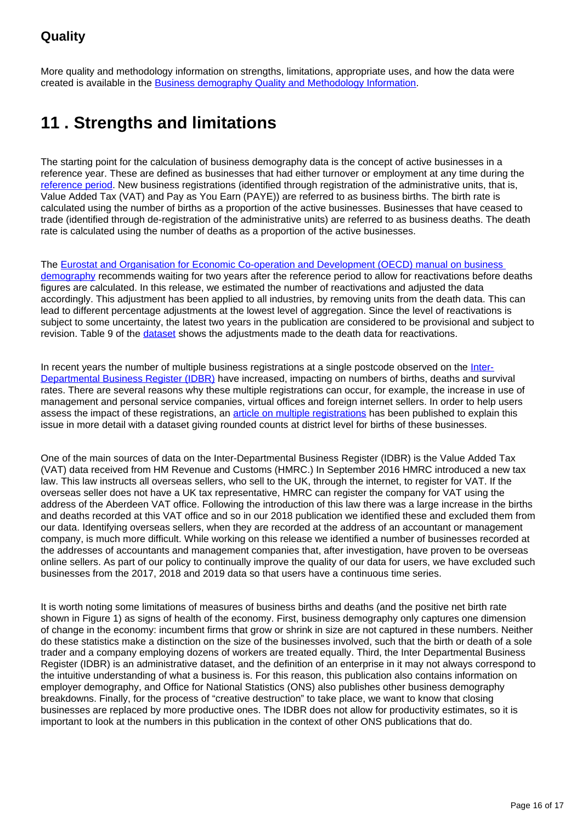## **Quality**

More quality and methodology information on strengths, limitations, appropriate uses, and how the data were created is available in the [Business demography Quality and Methodology Information.](https://www.ons.gov.uk/businessindustryandtrade/business/activitysizeandlocation/methodologies/businessdemographyqmi)

## <span id="page-15-0"></span>**11 . Strengths and limitations**

The starting point for the calculation of business demography data is the concept of active businesses in a reference year. These are defined as businesses that had either turnover or employment at any time during the [reference period](https://www.ons.gov.uk/businessindustryandtrade/business/activitysizeandlocation/methodologies/businessdemographyqmi). New business registrations (identified through registration of the administrative units, that is, Value Added Tax (VAT) and Pay as You Earn (PAYE)) are referred to as business births. The birth rate is calculated using the number of births as a proportion of the active businesses. Businesses that have ceased to trade (identified through de-registration of the administrative units) are referred to as business deaths. The death rate is calculated using the number of deaths as a proportion of the active businesses.

The [Eurostat and Organisation for Economic Co-operation and Development \(OECD\) manual on business](https://www.oecd.org/sdd/business-stats/eurostat-oecdmanualonbusinessdemographystatistics.htm)  [demography](https://www.oecd.org/sdd/business-stats/eurostat-oecdmanualonbusinessdemographystatistics.htm) recommends waiting for two years after the reference period to allow for reactivations before deaths figures are calculated. In this release, we estimated the number of reactivations and adjusted the data accordingly. This adjustment has been applied to all industries, by removing units from the death data. This can lead to different percentage adjustments at the lowest level of aggregation. Since the level of reactivations is subject to some uncertainty, the latest two years in the publication are considered to be provisional and subject to revision. Table 9 of the *dataset* shows the adjustments made to the death data for reactivations.

In recent years the number of multiple business registrations at a single postcode observed on the [Inter-](https://www.ons.gov.uk/aboutus/whatwedo/paidservices/interdepartmentalbusinessregisteridbr)[Departmental Business Register \(IDBR\)](https://www.ons.gov.uk/aboutus/whatwedo/paidservices/interdepartmentalbusinessregisteridbr) have increased, impacting on numbers of births, deaths and survival rates. There are several reasons why these multiple registrations can occur, for example, the increase in use of management and personal service companies, virtual offices and foreign internet sellers. In order to help users assess the impact of these registrations, an *article on multiple registrations* has been published to explain this issue in more detail with a dataset giving rounded counts at district level for births of these businesses.

One of the main sources of data on the Inter-Departmental Business Register (IDBR) is the Value Added Tax (VAT) data received from HM Revenue and Customs (HMRC.) In September 2016 HMRC introduced a new tax law. This law instructs all overseas sellers, who sell to the UK, through the internet, to register for VAT. If the overseas seller does not have a UK tax representative, HMRC can register the company for VAT using the address of the Aberdeen VAT office. Following the introduction of this law there was a large increase in the births and deaths recorded at this VAT office and so in our 2018 publication we identified these and excluded them from our data. Identifying overseas sellers, when they are recorded at the address of an accountant or management company, is much more difficult. While working on this release we identified a number of businesses recorded at the addresses of accountants and management companies that, after investigation, have proven to be overseas online sellers. As part of our policy to continually improve the quality of our data for users, we have excluded such businesses from the 2017, 2018 and 2019 data so that users have a continuous time series.

It is worth noting some limitations of measures of business births and deaths (and the positive net birth rate shown in Figure 1) as signs of health of the economy. First, business demography only captures one dimension of change in the economy: incumbent firms that grow or shrink in size are not captured in these numbers. Neither do these statistics make a distinction on the size of the businesses involved, such that the birth or death of a sole trader and a company employing dozens of workers are treated equally. Third, the Inter Departmental Business Register (IDBR) is an administrative dataset, and the definition of an enterprise in it may not always correspond to the intuitive understanding of what a business is. For this reason, this publication also contains information on employer demography, and Office for National Statistics (ONS) also publishes other business demography breakdowns. Finally, for the process of "creative destruction" to take place, we want to know that closing businesses are replaced by more productive ones. The IDBR does not allow for productivity estimates, so it is important to look at the numbers in this publication in the context of other ONS publications that do.